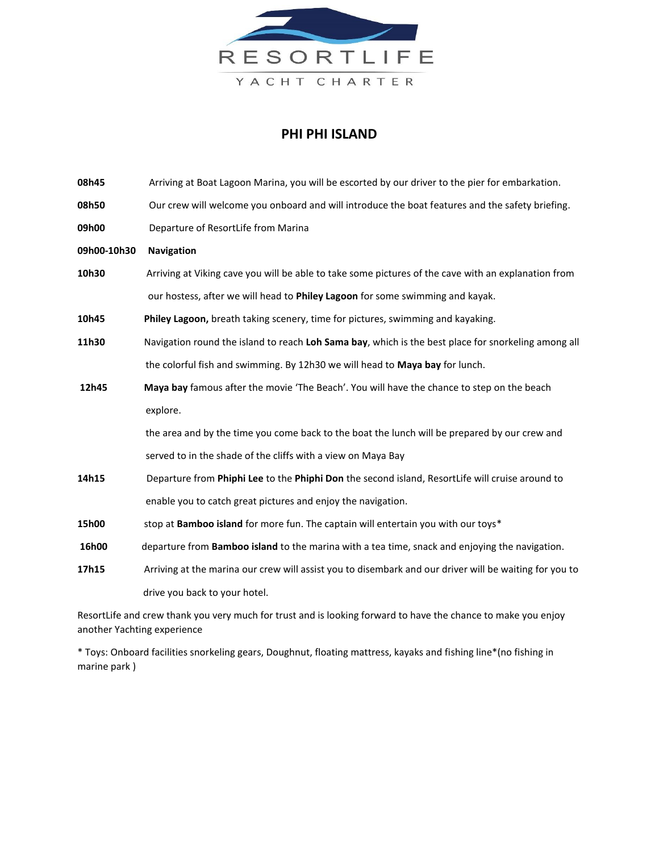

## **PHI PHI ISLAND**

| 08h45       | Arriving at Boat Lagoon Marina, you will be escorted by our driver to the pier for embarkation.        |
|-------------|--------------------------------------------------------------------------------------------------------|
| 08h50       | Our crew will welcome you onboard and will introduce the boat features and the safety briefing.        |
| 09h00       | Departure of ResortLife from Marina                                                                    |
| 09h00-10h30 | <b>Navigation</b>                                                                                      |
| 10h30       | Arriving at Viking cave you will be able to take some pictures of the cave with an explanation from    |
|             | our hostess, after we will head to Philey Lagoon for some swimming and kayak.                          |
| 10h45       | Philey Lagoon, breath taking scenery, time for pictures, swimming and kayaking.                        |
| 11h30       | Navigation round the island to reach Loh Sama bay, which is the best place for snorkeling among all    |
|             | the colorful fish and swimming. By 12h30 we will head to Maya bay for lunch.                           |
| 12h45       | Maya bay famous after the movie 'The Beach'. You will have the chance to step on the beach             |
|             | explore.                                                                                               |
|             | the area and by the time you come back to the boat the lunch will be prepared by our crew and          |
|             | served to in the shade of the cliffs with a view on Maya Bay                                           |
| 14h15       | Departure from Phiphi Lee to the Phiphi Don the second island, ResortLife will cruise around to        |
|             | enable you to catch great pictures and enjoy the navigation.                                           |
| 15h00       | stop at Bamboo island for more fun. The captain will entertain you with our toys*                      |
| 16h00       | departure from Bamboo island to the marina with a tea time, snack and enjoying the navigation.         |
| 17h15       | Arriving at the marina our crew will assist you to disembark and our driver will be waiting for you to |
|             | drive you back to your hotel.                                                                          |

ResortLife and crew thank you very much for trust and is looking forward to have the chance to make you enjoy another Yachting experience

\* Toys: Onboard facilities snorkeling gears, Doughnut, floating mattress, kayaks and fishing line\*(no fishing in marine park )